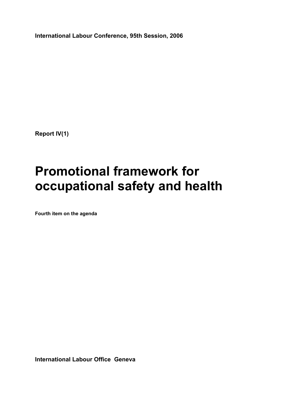**International Labour Conference, 95th Session, 2006** 

**Report IV(1)** 

# **Promotional framework for occupational safety and health**

**Fourth item on the agenda** 

**International Labour Office Geneva**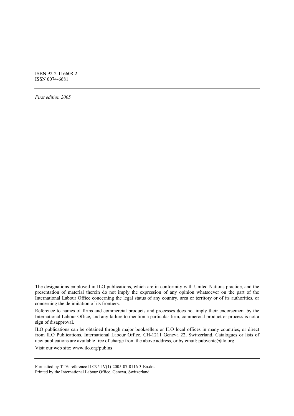ISBN 92-2-116608-2 ISSN 0074-6681

*First edition 2005* 

ILO publications can be obtained through major booksellers or ILO local offices in many countries, or direct from ILO Publications, International Labour Office, CH-1211 Geneva 22, Switzerland. Catalogues or lists of new publications are available free of charge from the above address, or by email: pubvente@ilo.org

Visit our web site: www.ilo.org/publns

Formatted by TTE: reference ILC95-IV(1)-2005-07-0116-3-En.doc Printed by the International Labour Office, Geneva, Switzerland

The designations employed in ILO publications, which are in conformity with United Nations practice, and the presentation of material therein do not imply the expression of any opinion whatsoever on the part of the International Labour Office concerning the legal status of any country, area or territory or of its authorities, or concerning the delimitation of its frontiers.

Reference to names of firms and commercial products and processes does not imply their endorsement by the International Labour Office, and any failure to mention a particular firm, commercial product or process is not a sign of disapproval.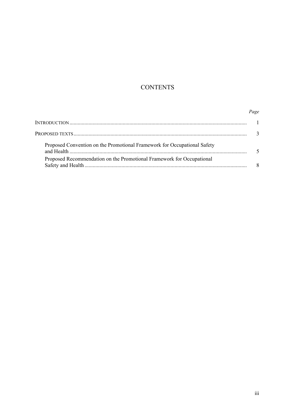# **CONTENTS**

# Page

| Proposed Convention on the Promotional Framework for Occupational Safety |  |
|--------------------------------------------------------------------------|--|
| Proposed Recommendation on the Promotional Framework for Occupational    |  |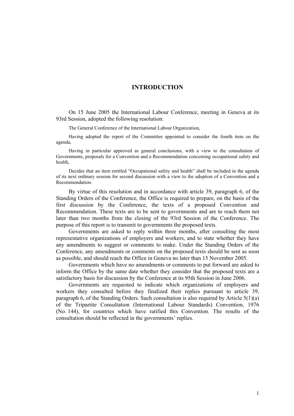# **INTRODUCTION**

On 15 June 2005 the International Labour Conference, meeting in Geneva at its 93rd Session, adopted the following resolution:

The General Conference of the International Labour Organization,

Having adopted the report of the Committee appointed to consider the fourth item on the agenda,

Having in particular approved as general conclusions, with a view to the consultation of Governments, proposals for a Convention and a Recommendation concerning occupational safety and health,

Decides that an item entitled "Occupational safety and health" shall be included in the agenda of its next ordinary session for second discussion with a view to the adoption of a Convention and a Recommendation.

By virtue of this resolution and in accordance with article 39, paragraph 6, of the Standing Orders of the Conference, the Office is required to prepare, on the basis of the first discussion by the Conference, the texts of a proposed Convention and Recommendation. These texts are to be sent to governments and are to reach them not later than two months from the closing of the 93rd Session of the Conference. The purpose of this report is to transmit to governments the proposed texts.

Governments are asked to reply within three months, after consulting the most representative organizations of employers and workers, and to state whether they have any amendments to suggest or comments to make. Under the Standing Orders of the Conference, any amendments or comments on the proposed texts should be sent as soon as possible, and should reach the Office in Geneva no later than 15 November 2005.

Governments which have no amendments or comments to put forward are asked to inform the Office by the same date whether they consider that the proposed texts are a satisfactory basis for discussion by the Conference at its 95th Session in June 2006.

Governments are requested to indicate which organizations of employers and workers they consulted before they finalized their replies pursuant to article 39, paragraph 6, of the Standing Orders. Such consultation is also required by Article  $5(1)(a)$ of the Tripartite Consultation (International Labour Standards) Convention, 1976 (No. 144), for countries which have ratified this Convention. The results of the consultation should be reflected in the governments' replies.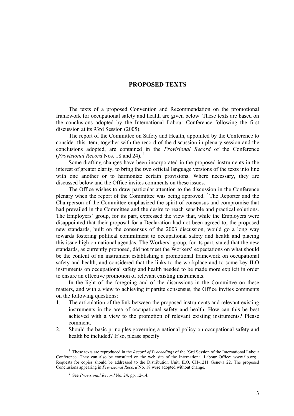# **PROPOSED TEXTS**

The texts of a proposed Convention and Recommendation on the promotional framework for occupational safety and health are given below. These texts are based on the conclusions adopted by the International Labour Conference following the first discussion at its 93rd Session (2005).

The report of the Committee on Safety and Health, appointed by the Conference to consider this item, together with the record of the discussion in plenary session and the conclusions adopted, are contained in the *Provisional Record* of the Conference (*Provisional Record* Nos. 18 and 24). 1

Some drafting changes have been incorporated in the proposed instruments in the interest of greater clarity, to bring the two official language versions of the texts into line with one another or to harmonize certain provisions. Where necessary, they are discussed below and the Office invites comments on these issues.

The Office wishes to draw particular attention to the discussion in the Conference plenary when the report of the Committee was being approved.<sup>2</sup> The Reporter and the Chairperson of the Committee emphasized the spirit of consensus and compromise that had prevailed in the Committee and the desire to reach sensible and practical solutions. The Employers' group, for its part, expressed the view that, while the Employers were disappointed that their proposal for a Declaration had not been agreed to, the proposed new standards, built on the consensus of the 2003 discussion, would go a long way towards fostering political commitment to occupational safety and health and placing this issue high on national agendas. The Workers' group, for its part, stated that the new standards, as currently proposed, did not meet the Workers' expectations on what should be the content of an instrument establishing a promotional framework on occupational safety and health, and considered that the links to the workplace and to some key ILO instruments on occupational safety and health needed to be made more explicit in order to ensure an effective promotion of relevant existing instruments.

In the light of the foregoing and of the discussions in the Committee on these matters, and with a view to achieving tripartite consensus, the Office invites comments on the following questions:

- 1. The articulation of the link between the proposed instruments and relevant existing instruments in the area of occupational safety and health: How can this be best achieved with a view to the promotion of relevant existing instruments? Please comment.
- 2. Should the basic principles governing a national policy on occupational safety and health be included? If so, please specify.

 $\frac{1}{1}$ <sup>1</sup> These texts are reproduced in the *Record of Proceedings* of the 93rd Session of the International Labour Conference. They can also be consulted on the web site of the International Labour Office: www.ilo.org . Requests for copies should be addressed to the Distribution Unit, ILO, CH-1211 Geneva 22. The proposed Conclusions appearing in *Provisional Record* No. 18 were adopted without change.

<sup>2</sup> See *Provisional Record* No. 24, pp. 12-14.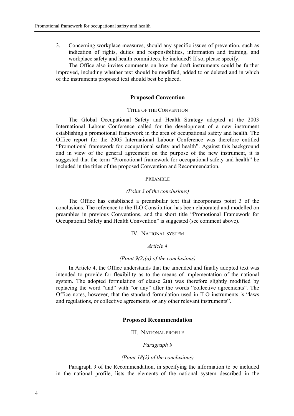3. Concerning workplace measures, should any specific issues of prevention, such as indication of rights, duties and responsibilities, information and training, and workplace safety and health committees, be included? If so, please specify.

The Office also invites comments on how the draft instruments could be further improved, including whether text should be modified, added to or deleted and in which of the instruments proposed text should best be placed.

#### **Proposed Convention**

### TITLE OF THE CONVENTION

The Global Occupational Safety and Health Strategy adopted at the 2003 International Labour Conference called for the development of a new instrument establishing a promotional framework in the area of occupational safety and health. The Office report for the 2005 International Labour Conference was therefore entitled "Promotional framework for occupational safety and health". Against this background and in view of the general agreement on the purpose of the new instrument, it is suggested that the term "Promotional framework for occupational safety and health" be included in the titles of the proposed Convention and Recommendation.

#### PREAMBLE

#### *(Point 3 of the conclusions)*

The Office has established a preambular text that incorporates point 3 of the conclusions. The reference to the ILO Constitution has been elaborated and modelled on preambles in previous Conventions, and the short title "Promotional Framework for Occupational Safety and Health Convention<sup>"</sup> is suggested (see comment above).

#### IV. NATIONAL SYSTEM

# *Article 4*

#### *(Point 9(2)(a) of the conclusions)*

In Article 4, the Office understands that the amended and finally adopted text was intended to provide for flexibility as to the means of implementation of the national system. The adopted formulation of clause  $2(a)$  was therefore slightly modified by replacing the word "and" with "or any" after the words "collective agreements". The Office notes, however, that the standard formulation used in ILO instruments is "laws and regulations, or collective agreements, or any other relevant instruments".

#### **Proposed Recommendation**

III. NATIONAL PROFILE

#### *Paragraph 9*

# *(Point 18(2) of the conclusions)*

Paragraph 9 of the Recommendation, in specifying the information to be included in the national profile, lists the elements of the national system described in the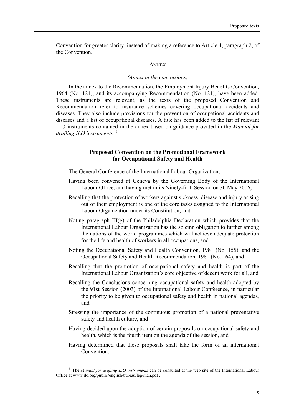Convention for greater clarity, instead of making a reference to Article 4, paragraph 2, of the Convention.

#### **ANNEX**

#### *(Annex in the conclusions)*

In the annex to the Recommendation, the Employment Injury Benefits Convention, 1964 (No. 121), and its accompanying Recommendation (No. 121), have been added. These instruments are relevant, as the texts of the proposed Convention and Recommendation refer to insurance schemes covering occupational accidents and diseases. They also include provisions for the prevention of occupational accidents and diseases and a list of occupational diseases. A title has been added to the list of relevant ILO instruments contained in the annex based on guidance provided in the *Manual for drafting ILO instruments*. 3

#### **Proposed Convention on the Promotional Framework for Occupational Safety and Health**

The General Conference of the International Labour Organization,

- Having been convened at Geneva by the Governing Body of the International Labour Office, and having met in its Ninety-fifth Session on 30 May 2006,
- Recalling that the protection of workers against sickness, disease and injury arising out of their employment is one of the core tasks assigned to the International Labour Organization under its Constitution, and
- Noting paragraph  $III(g)$  of the Philadelphia Declaration which provides that the International Labour Organization has the solemn obligation to further among the nations of the world programmes which will achieve adequate protection for the life and health of workers in all occupations, and
- Noting the Occupational Safety and Health Convention, 1981 (No. 155), and the Occupational Safety and Health Recommendation, 1981 (No. 164), and
- Recalling that the promotion of occupational safety and health is part of the International Labour Organization's core objective of decent work for all, and
- Recalling the Conclusions concerning occupational safety and health adopted by the 91st Session (2003) of the International Labour Conference, in particular the priority to be given to occupational safety and health in national agendas, and
- Stressing the importance of the continuous promotion of a national preventative safety and health culture, and
- Having decided upon the adoption of certain proposals on occupational safety and health, which is the fourth item on the agenda of the session, and
- Having determined that these proposals shall take the form of an international Convention;

 <sup>3</sup> <sup>3</sup> The *Manual for drafting ILO instruments* can be consulted at the web site of the International Labour Office at www.ilo.org/public/english/bureau/leg/man.pdf .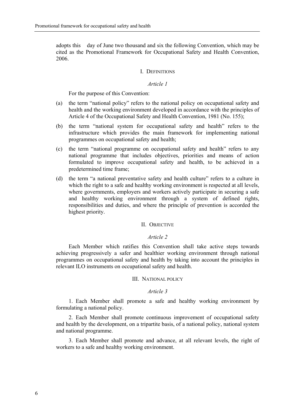adopts this day of June two thousand and six the following Convention, which may be cited as the Promotional Framework for Occupational Safety and Health Convention, 2006.

#### I. DEFINITIONS

# *Article 1*

For the purpose of this Convention:

- (a) the term "national policy" refers to the national policy on occupational safety and health and the working environment developed in accordance with the principles of Article 4 of the Occupational Safety and Health Convention, 1981 (No. 155);
- $(b)$  the term "national system for occupational safety and health" refers to the infrastructure which provides the main framework for implementing national programmes on occupational safety and health;
- $(c)$  the term "national programme on occupational safety and health" refers to any national programme that includes objectives, priorities and means of action formulated to improve occupational safety and health, to be achieved in a predetermined time frame;
- (d) the term "a national preventative safety and health culture" refers to a culture in which the right to a safe and healthy working environment is respected at all levels, where governments, employers and workers actively participate in securing a safe and healthy working environment through a system of defined rights, responsibilities and duties, and where the principle of prevention is accorded the highest priority.

### II. OBJECTIVE

#### *Article 2*

Each Member which ratifies this Convention shall take active steps towards achieving progressively a safer and healthier working environment through national programmes on occupational safety and health by taking into account the principles in relevant ILO instruments on occupational safety and health.

#### III. NATIONAL POLICY

# *Article 3*

1. Each Member shall promote a safe and healthy working environment by formulating a national policy.

2. Each Member shall promote continuous improvement of occupational safety and health by the development, on a tripartite basis, of a national policy, national system and national programme.

3. Each Member shall promote and advance, at all relevant levels, the right of workers to a safe and healthy working environment.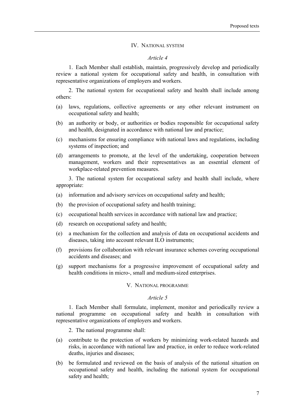# IV. NATIONAL SYSTEM

# *Article 4*

1. Each Member shall establish, maintain, progressively develop and periodically review a national system for occupational safety and health, in consultation with representative organizations of employers and workers.

2. The national system for occupational safety and health shall include among others:

- (a) laws, regulations, collective agreements or any other relevant instrument on occupational safety and health;
- (b) an authority or body, or authorities or bodies responsible for occupational safety and health, designated in accordance with national law and practice;
- (c) mechanisms for ensuring compliance with national laws and regulations, including systems of inspection; and
- (d) arrangements to promote, at the level of the undertaking, cooperation between management, workers and their representatives as an essential element of workplace-related prevention measures.

3. The national system for occupational safety and health shall include, where appropriate:

- (a) information and advisory services on occupational safety and health;
- (b) the provision of occupational safety and health training;
- (c) occupational health services in accordance with national law and practice;
- (d) research on occupational safety and health;
- (e) a mechanism for the collection and analysis of data on occupational accidents and diseases, taking into account relevant ILO instruments;
- (f) provisions for collaboration with relevant insurance schemes covering occupational accidents and diseases; and
- (g) support mechanisms for a progressive improvement of occupational safety and health conditions in micro-, small and medium-sized enterprises.

# V. NATIONAL PROGRAMME

#### *Article 5*

1. Each Member shall formulate, implement, monitor and periodically review a national programme on occupational safety and health in consultation with representative organizations of employers and workers.

2. The national programme shall:

- (a) contribute to the protection of workers by minimizing work-related hazards and risks, in accordance with national law and practice, in order to reduce work-related deaths, injuries and diseases;
- (b) be formulated and reviewed on the basis of analysis of the national situation on occupational safety and health, including the national system for occupational safety and health;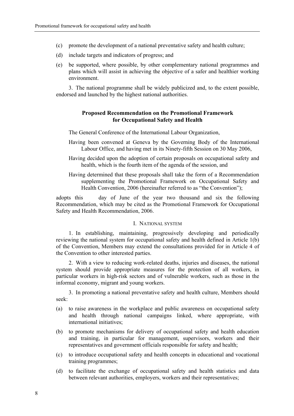- (c) promote the development of a national preventative safety and health culture;
- (d) include targets and indicators of progress; and
- (e) be supported, where possible, by other complementary national programmes and plans which will assist in achieving the objective of a safer and healthier working environment.

3. The national programme shall be widely publicized and, to the extent possible, endorsed and launched by the highest national authorities.

# **Proposed Recommendation on the Promotional Framework for Occupational Safety and Health**

The General Conference of the International Labour Organization,

- Having been convened at Geneva by the Governing Body of the International Labour Office, and having met in its Ninety-fifth Session on 30 May 2006,
- Having decided upon the adoption of certain proposals on occupational safety and health, which is the fourth item of the agenda of the session, and
- Having determined that these proposals shall take the form of a Recommendation supplementing the Promotional Framework on Occupational Safety and Health Convention, 2006 (hereinafter referred to as "the Convention");

adopts this day of June of the year two thousand and six the following Recommendation, which may be cited as the Promotional Framework for Occupational Safety and Health Recommendation, 2006.

# I. NATIONAL SYSTEM

1. In establishing, maintaining, progressively developing and periodically reviewing the national system for occupational safety and health defined in Article 1(b) of the Convention, Members may extend the consultations provided for in Article 4 of the Convention to other interested parties.

2. With a view to reducing work-related deaths, injuries and diseases, the national system should provide appropriate measures for the protection of all workers, in particular workers in high-risk sectors and of vulnerable workers, such as those in the informal economy, migrant and young workers.

3. In promoting a national preventative safety and health culture, Members should seek:

- (a) to raise awareness in the workplace and public awareness on occupational safety and health through national campaigns linked, where appropriate, with international initiatives;
- (b) to promote mechanisms for delivery of occupational safety and health education and training, in particular for management, supervisors, workers and their representatives and government officials responsible for safety and health;
- (c) to introduce occupational safety and health concepts in educational and vocational training programmes;
- (d) to facilitate the exchange of occupational safety and health statistics and data between relevant authorities, employers, workers and their representatives;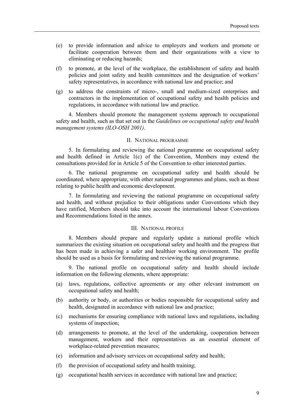- (e) to provide information and advice to employers and workers and promote or facilitate cooperation between them and their organizations with a view to eliminating or reducing hazards;
- (f) to promote, at the level of the workplace, the establishment of safety and health policies and joint safety and health committees and the designation of workers' safety representatives, in accordance with national law and practice; and
- (g) to address the constraints of micro-, small and medium-sized enterprises and contractors in the implementation of occupational safety and health policies and regulations, in accordance with national law and practice.

4. Members should promote the management systems approach to occupational safety and health, such as that set out in the *Guidelines on occupational safety and health management systems (ILO-OSH 2001)*.

# II. NATIONAL PROGRAMME

5. In formulating and reviewing the national programme on occupational safety and health defined in Article 1(c) of the Convention, Members may extend the consultations provided for in Article 5 of the Convention to other interested parties.

6. The national programme on occupational safety and health should be coordinated, where appropriate, with other national programmes and plans, such as those relating to public health and economic development.

7. In formulating and reviewing the national programme on occupational safety and health, and without prejudice to their obligations under Conventions which they have ratified, Members should take into account the international labour Conventions and Recommendations listed in the annex.

# III. NATIONAL PROFILE

8. Members should prepare and regularly update a national profile which summarizes the existing situation on occupational safety and health and the progress that has been made in achieving a safer and healthier working environment. The profile should be used as a basis for formulating and reviewing the national programme.

9. The national profile on occupational safety and health should include information on the following elements, where appropriate:

- (a) laws, regulations, collective agreements or any other relevant instrument on occupational safety and health;
- (b) authority or body, or authorities or bodies responsible for occupational safety and health, designated in accordance with national law and practice;
- (c) mechanisms for ensuring compliance with national laws and regulations, including systems of inspection;
- (d) arrangements to promote, at the level of the undertaking, cooperation between management, workers and their representatives as an essential element of workplace-related prevention measures;
- (e) information and advisory services on occupational safety and health;
- (f) the provision of occupational safety and health training;
- (g) occupational health services in accordance with national law and practice;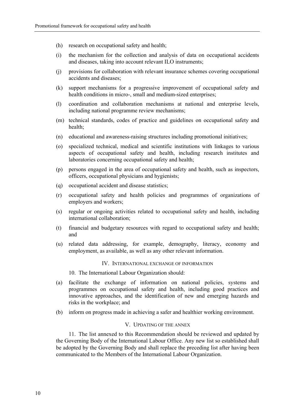- (h) research on occupational safety and health;
- (i) the mechanism for the collection and analysis of data on occupational accidents and diseases, taking into account relevant ILO instruments;
- (j) provisions for collaboration with relevant insurance schemes covering occupational accidents and diseases;
- (k) support mechanisms for a progressive improvement of occupational safety and health conditions in micro-, small and medium-sized enterprises;
- (l) coordination and collaboration mechanisms at national and enterprise levels, including national programme review mechanisms;
- (m) technical standards, codes of practice and guidelines on occupational safety and health;
- (n) educational and awareness-raising structures including promotional initiatives;
- (o) specialized technical, medical and scientific institutions with linkages to various aspects of occupational safety and health, including research institutes and laboratories concerning occupational safety and health;
- (p) persons engaged in the area of occupational safety and health, such as inspectors, officers, occupational physicians and hygienists;
- (q) occupational accident and disease statistics;
- (r) occupational safety and health policies and programmes of organizations of employers and workers;
- (s) regular or ongoing activities related to occupational safety and health, including international collaboration;
- (t) financial and budgetary resources with regard to occupational safety and health; and
- (u) related data addressing, for example, demography, literacy, economy and employment, as available, as well as any other relevant information.

# IV. INTERNATIONAL EXCHANGE OF INFORMATION

10. The International Labour Organization should:

- (a) facilitate the exchange of information on national policies, systems and programmes on occupational safety and health, including good practices and innovative approaches, and the identification of new and emerging hazards and risks in the workplace; and
- (b) inform on progress made in achieving a safer and healthier working environment.

#### V. UPDATING OF THE ANNEX

11. The list annexed to this Recommendation should be reviewed and updated by the Governing Body of the International Labour Office. Any new list so established shall be adopted by the Governing Body and shall replace the preceding list after having been communicated to the Members of the International Labour Organization.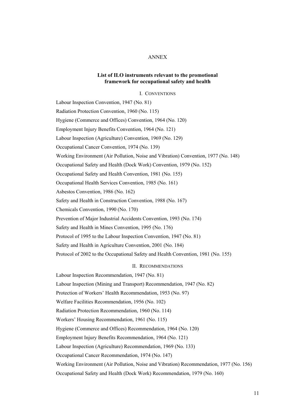# ANNEX

# **List of ILO instruments relevant to the promotional framework for occupational safety and health**

I. CONVENTIONS

Labour Inspection Convention, 1947 (No. 81) Radiation Protection Convention, 1960 (No. 115) Hygiene (Commerce and Offices) Convention, 1964 (No. 120) Employment Injury Benefits Convention, 1964 (No. 121) Labour Inspection (Agriculture) Convention, 1969 (No. 129) Occupational Cancer Convention, 1974 (No. 139) Working Environment (Air Pollution, Noise and Vibration) Convention, 1977 (No. 148) Occupational Safety and Health (Dock Work) Convention, 1979 (No. 152) Occupational Safety and Health Convention, 1981 (No. 155) Occupational Health Services Convention, 1985 (No. 161) Asbestos Convention, 1986 (No. 162) Safety and Health in Construction Convention, 1988 (No. 167) Chemicals Convention, 1990 (No. 170) Prevention of Major Industrial Accidents Convention, 1993 (No. 174) Safety and Health in Mines Convention, 1995 (No. 176) Protocol of 1995 to the Labour Inspection Convention, 1947 (No. 81) Safety and Health in Agriculture Convention, 2001 (No. 184) Protocol of 2002 to the Occupational Safety and Health Convention, 1981 (No. 155) II. RECOMMENDATIONS Labour Inspection Recommendation, 1947 (No. 81)

Labour Inspection (Mining and Transport) Recommendation, 1947 (No. 82) Protection of Workers' Health Recommendation, 1953 (No. 97) Welfare Facilities Recommendation, 1956 (No. 102) Radiation Protection Recommendation, 1960 (No. 114) Workers' Housing Recommendation, 1961 (No. 115) Hygiene (Commerce and Offices) Recommendation, 1964 (No. 120) Employment Injury Benefits Recommendation, 1964 (No. 121) Labour Inspection (Agriculture) Recommendation, 1969 (No. 133) Occupational Cancer Recommendation, 1974 (No. 147) Working Environment (Air Pollution, Noise and Vibration) Recommendation, 1977 (No. 156) Occupational Safety and Health (Dock Work) Recommendation, 1979 (No. 160)